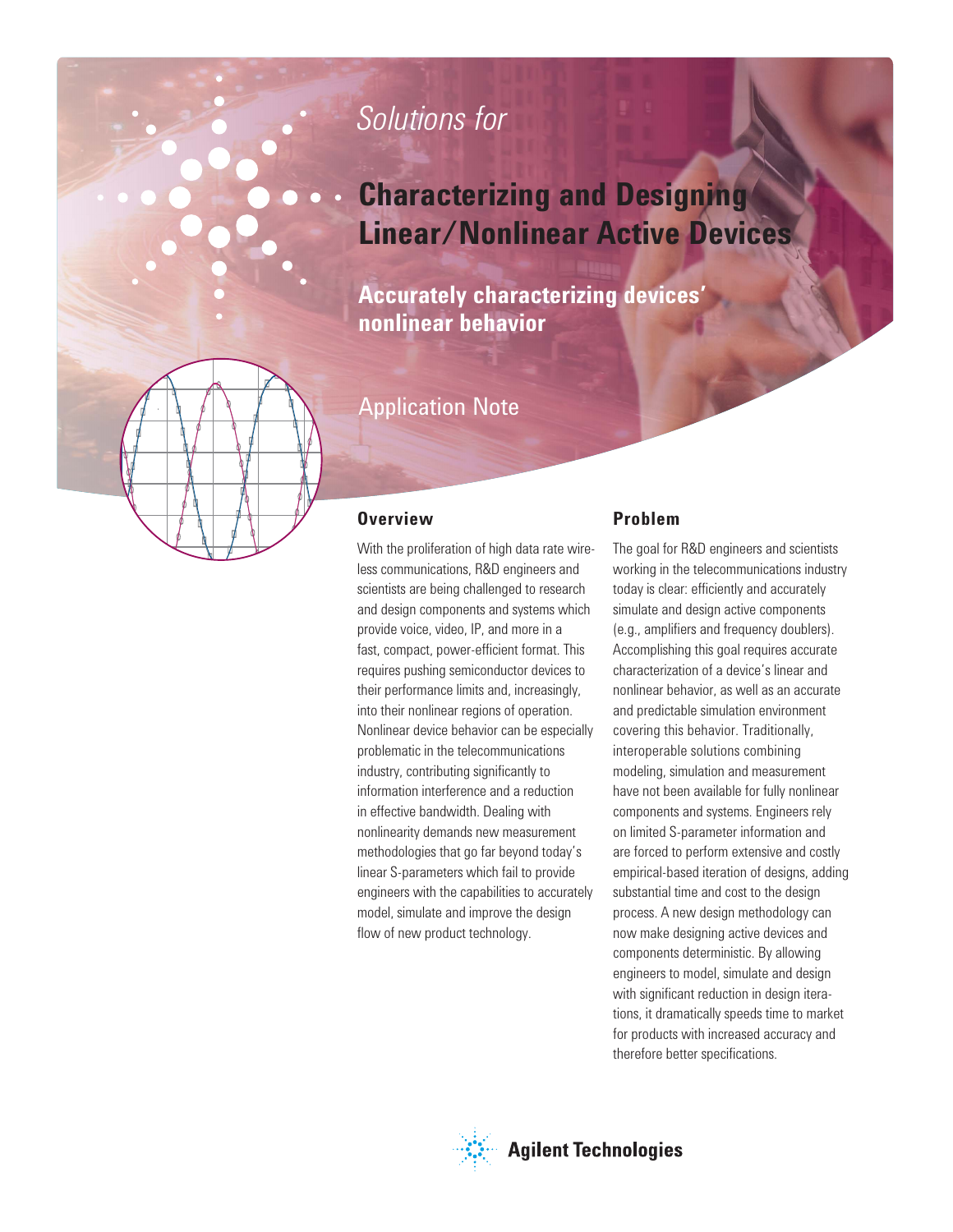# *Solutions for*

# **Characterizing and Designing Linear/Nonlinear Active Devices**

**Accurately characterizing devices' nonlinear behavior**

# Application Note

## **Overview**

With the proliferation of high data rate wireless communications, R&D engineers and scientists are being challenged to research and design components and systems which provide voice, video, IP, and more in a fast, compact, power-efficient format. This requires pushing semiconductor devices to their performance limits and, increasingly, into their nonlinear regions of operation. Nonlinear device behavior can be especially problematic in the telecommunications industry, contributing significantly to information interference and a reduction in effective bandwidth. Dealing with nonlinearity demands new measurement methodologies that go far beyond today's linear S-parameters which fail to provide engineers with the capabilities to accurately model, simulate and improve the design flow of new product technology.

## **Problem**

The goal for R&D engineers and scientists working in the telecommunications industry today is clear: efficiently and accurately simulate and design active components (e.g., amplifiers and frequency doublers). Accomplishing this goal requires accurate characterization of a device's linear and nonlinear behavior, as well as an accurate and predictable simulation environment covering this behavior. Traditionally, interoperable solutions combining modeling, simulation and measurement have not been available for fully nonlinear components and systems. Engineers rely on limited S-parameter information and are forced to perform extensive and costly empirical-based iteration of designs, adding substantial time and cost to the design process. A new design methodology can now make designing active devices and components deterministic. By allowing engineers to model, simulate and design with significant reduction in design iterations, it dramatically speeds time to market for products with increased accuracy and therefore better specifications.

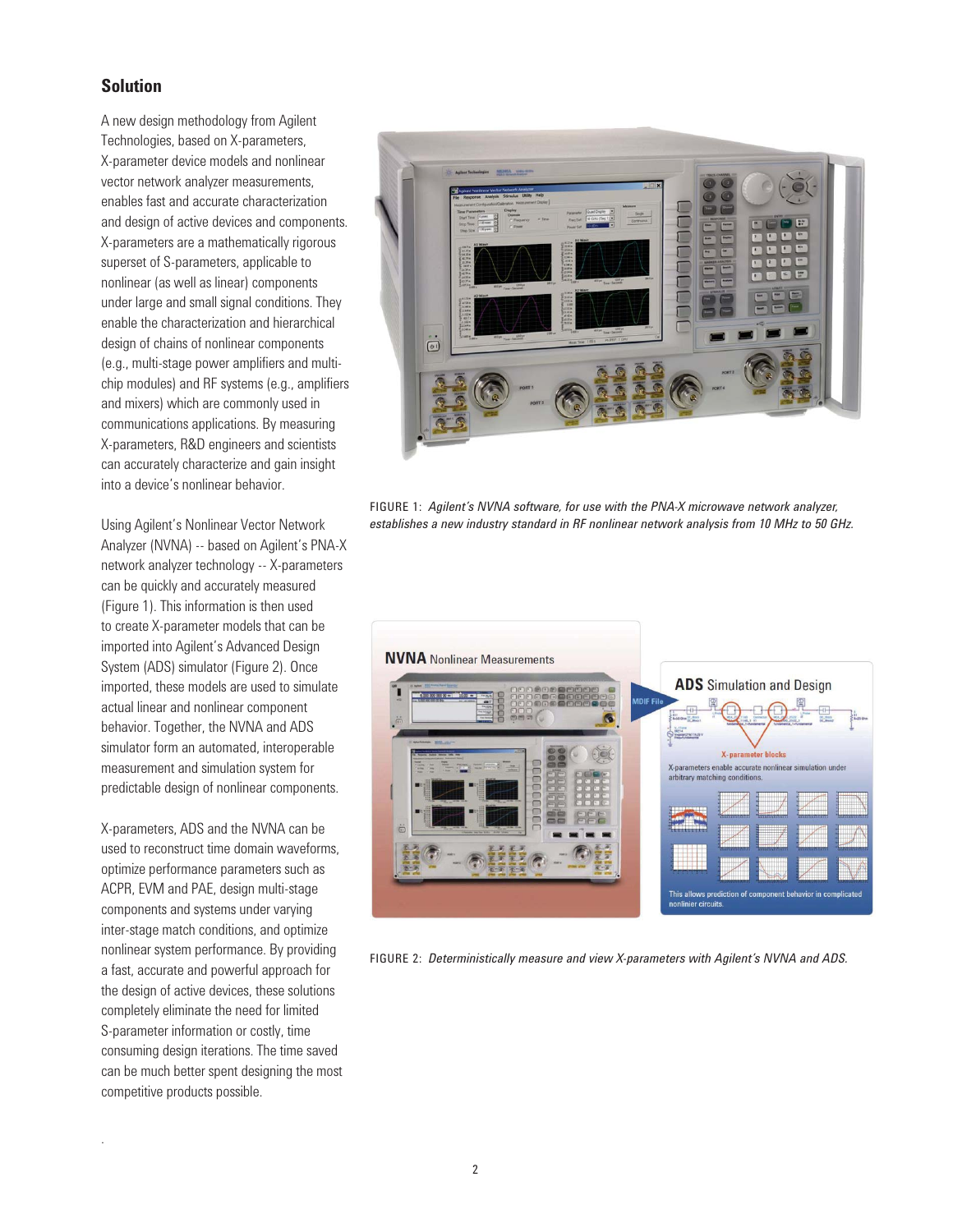## **Solution**

A new design methodology from Agilent Technologies, based on X-parameters, X-parameter device models and nonlinear vector network analyzer measurements, enables fast and accurate characterization and design of active devices and components. X-parameters are a mathematically rigorous superset of S-parameters, applicable to nonlinear (as well as linear) components under large and small signal conditions. They enable the characterization and hierarchical design of chains of nonlinear components (e.g., multi-stage power amplifiers and multichip modules) and RF systems (e.g., amplifiers and mixers) which are commonly used in communications applications. By measuring X-parameters, R&D engineers and scientists can accurately characterize and gain insight into a device's nonlinear behavior.

Using Agilent's Nonlinear Vector Network Analyzer (NVNA) -- based on Agilent's PNA-X network analyzer technology -- X-parameters can be quickly and accurately measured (Figure 1). This information is then used to create X-parameter models that can be imported into Agilent's Advanced Design System (ADS) simulator (Figure 2). Once imported, these models are used to simulate actual linear and nonlinear component behavior. Together, the NVNA and ADS simulator form an automated, interoperable measurement and simulation system for predictable design of nonlinear components.

X-parameters, ADS and the NVNA can be used to reconstruct time domain waveforms, optimize performance parameters such as ACPR, EVM and PAE, design multi-stage components and systems under varying inter-stage match conditions, and optimize nonlinear system performance. By providing a fast, accurate and powerful approach for the design of active devices, these solutions completely eliminate the need for limited S-parameter information or costly, time consuming design iterations. The time saved can be much better spent designing the most competitive products possible.

.



FIGURE 1: *Agilent's NVNA software, for use with the PNA-X microwave network analyzer, establishes a new industry standard in RF nonlinear network analysis from 10 MHz to 50 GHz.*



FIGURE 2: *Deterministically measure and view X-parameters with Agilent's NVNA and ADS.*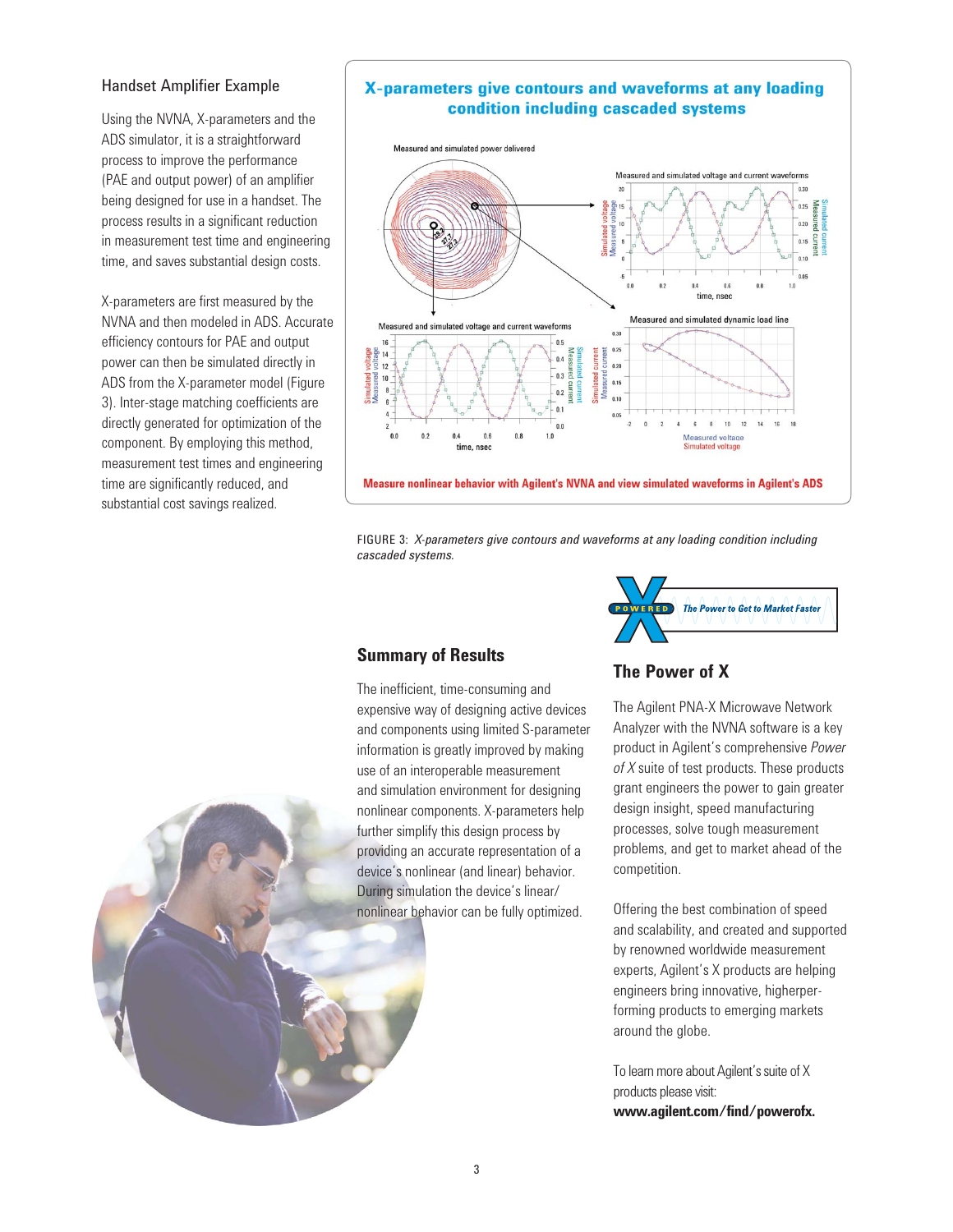### Handset Amplifier Example

Using the NVNA, X-parameters and the ADS simulator, it is a straightforward process to improve the performance (PAE and output power) of an amplifier being designed for use in a handset. The process results in a significant reduction in measurement test time and engineering time, and saves substantial design costs.

X-parameters are first measured by the NVNA and then modeled in ADS. Accurate efficiency contours for PAE and output power can then be simulated directly in ADS from the X-parameter model (Figure 3). Inter-stage matching coefficients are directly generated for optimization of the component. By employing this method, measurement test times and engineering time are significantly reduced, and substantial cost savings realized.

## X-parameters give contours and waveforms at any loading condition including cascaded systems



FIGURE 3: *X-parameters give contours and waveforms at any loading condition including cascaded systems.*

## **Summary of Results**

The inefficient, time-consuming and expensive way of designing active devices and components using limited S-parameter information is greatly improved by making use of an interoperable measurement and simulation environment for designing nonlinear components. X-parameters help further simplify this design process by providing an accurate representation of a device's nonlinear (and linear) behavior. During simulation the device's linear/ nonlinear behavior can be fully optimized.



## **The Power of X**

The Agilent PNA-X Microwave Network Analyzer with the NVNA software is a key product in Agilent's comprehensive *Power of X* suite of test products. These products grant engineers the power to gain greater design insight, speed manufacturing processes, solve tough measurement problems, and get to market ahead of the competition.

Offering the best combination of speed and scalability, and created and supported by renowned worldwide measurement experts, Agilent's X products are helping engineers bring innovative, higherperforming products to emerging markets around the globe.

To learn more about Agilent's suite of X products please visit: **www.agilent.com/find/powerofx.**